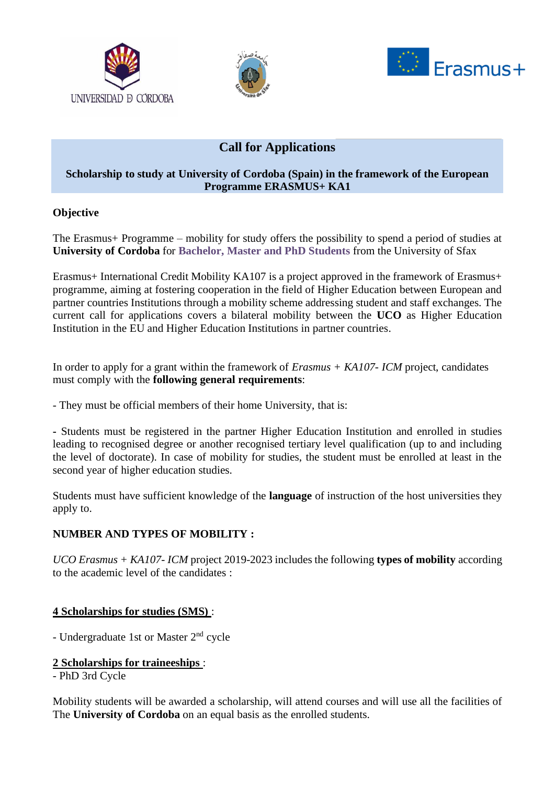





# **Call for Applications**

### **Scholarship to study at University of Cordoba (Spain) in the framework of the European Programme ERASMUS+ KA1**

### **Objective**

The Erasmus+ Programme – mobility for study offers the possibility to spend a period of studies at **University of Cordoba** for **Bachelor, Master and PhD Students** from the University of Sfax

Erasmus+ International Credit Mobility KA107 is a project approved in the framework of Erasmus+ programme, aiming at fostering cooperation in the field of Higher Education between European and partner countries Institutions through a mobility scheme addressing student and staff exchanges. The current call for applications covers a bilateral mobility between the **UCO** as Higher Education Institution in the EU and Higher Education Institutions in partner countries.

In order to apply for a grant within the framework of *Erasmus + KA107- ICM* project, candidates must comply with the **following general requirements**:

- They must be official members of their home University, that is:

**-** Students must be registered in the partner Higher Education Institution and enrolled in studies leading to recognised degree or another recognised tertiary level qualification (up to and including the level of doctorate). In case of mobility for studies, the student must be enrolled at least in the second year of higher education studies.

Students must have sufficient knowledge of the **language** of instruction of the host universities they apply to.

## **NUMBER AND TYPES OF MOBILITY :**

*UCO Erasmus + KA107- ICM* project 2019-2023 includes the following **types of mobility** according to the academic level of the candidates :

## **4 Scholarships for studies (SMS)** :

- Undergraduate 1st or Master 2<sup>nd</sup> cycle

### **2 Scholarships for traineeships** :

- PhD 3rd Cycle

Mobility students will be awarded a scholarship, will attend courses and will use all the facilities of The **University of Cordoba** on an equal basis as the enrolled students.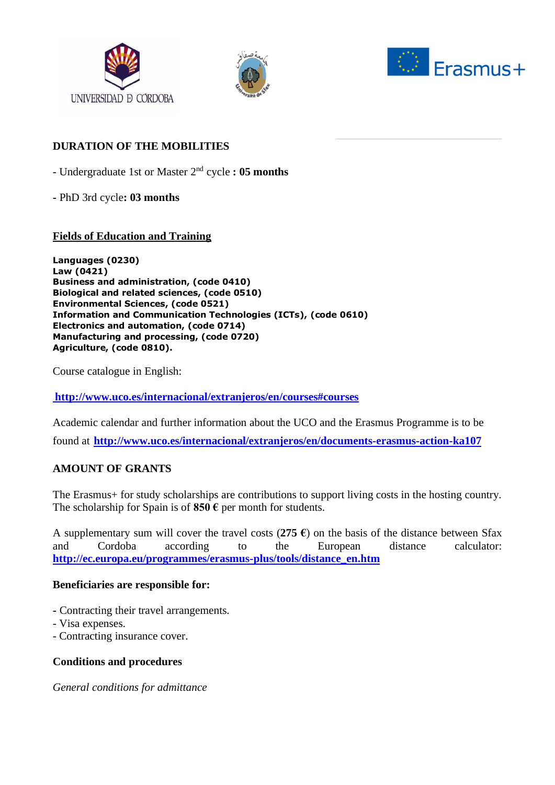





### **DURATION OF THE MOBILITIES**

- Undergraduate 1st or Master 2nd cycle **: 05 months** 

**-** PhD 3rd cycle**: 03 months** 

### **Fields of Education and Training**

**Languages (0230) Law (0421) Business and administration, (code 0410) Biological and related sciences, (code 0510) Environmental Sciences, (code 0521) Information and Communication Technologies (ICTs), (code 0610) Electronics and automation, (code 0714) Manufacturing and processing, (code 0720) Agriculture, (code 0810).**

Course catalogue in English:

**<http://www.uco.es/internacional/extranjeros/en/courses#courses>**

Academic calendar and further information about the UCO and the Erasmus Programme is to be found at **<http://www.uco.es/internacional/extranjeros/en/documents-erasmus-action-ka107>**

### **AMOUNT OF GRANTS**

The Erasmus+ for study scholarships are contributions to support living costs in the hosting country. The scholarship for Spain is of **850 €** per month for students.

A supplementary sum will cover the travel costs (275  $\epsilon$ ) on the basis of the distance between Sfax and Cordoba according to the European distance calculator: **[http://ec.europa.eu/programmes/erasmus-plus/tools/distance\\_en.htm](http://ec.europa.eu/programmes/erasmus-plus/tools/distance_en.htm)**

#### **Beneficiaries are responsible for:**

- **-** Contracting their travel arrangements.
- Visa expenses.
- Contracting insurance cover.

### **Conditions and procedures**

*General conditions for admittance*